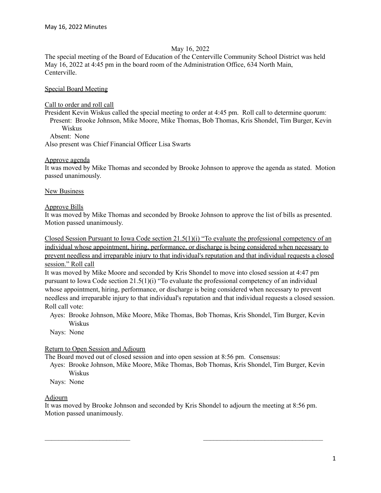#### May 16, 2022

The special meeting of the Board of Education of the Centerville Community School District was held May 16, 2022 at 4:45 pm in the board room of the Administration Office, 634 North Main, Centerville.

## Special Board Meeting

#### Call to order and roll call

President Kevin Wiskus called the special meeting to order at 4:45 pm. Roll call to determine quorum: Present: Brooke Johnson, Mike Moore, Mike Thomas, Bob Thomas, Kris Shondel, Tim Burger, Kevin Wiskus

Absent: None

Also present was Chief Financial Officer Lisa Swarts

## Approve agenda

It was moved by Mike Thomas and seconded by Brooke Johnson to approve the agenda as stated. Motion passed unanimously.

## **New Business**

## Approve Bills

It was moved by Mike Thomas and seconded by Brooke Johnson to approve the list of bills as presented. Motion passed unanimously.

Closed Session Pursuant to Iowa Code section 21.5(1)(i) "To evaluate the professional competency of an individual whose appointment, hiring, performance, or discharge is being considered when necessary to prevent needless and irreparable injury to that individual's reputation and that individual requests a closed session." Roll call

It was moved by Mike Moore and seconded by Kris Shondel to move into closed session at 4:47 pm pursuant to Iowa Code section  $21.5(1)(i)$  "To evaluate the professional competency of an individual whose appointment, hiring, performance, or discharge is being considered when necessary to prevent needless and irreparable injury to that individual's reputation and that individual requests a closed session. Roll call vote:

Ayes: Brooke Johnson, Mike Moore, Mike Thomas, Bob Thomas, Kris Shondel, Tim Burger, Kevin Wiskus

Nays: None

# Return to Open Session and Adjourn

The Board moved out of closed session and into open session at 8:56 pm. Consensus:

Ayes: Brooke Johnson, Mike Moore, Mike Thomas, Bob Thomas, Kris Shondel, Tim Burger, Kevin Wiskus

Nays: None

# Adjourn

It was moved by Brooke Johnson and seconded by Kris Shondel to adjourn the meeting at 8:56 pm. Motion passed unanimously.